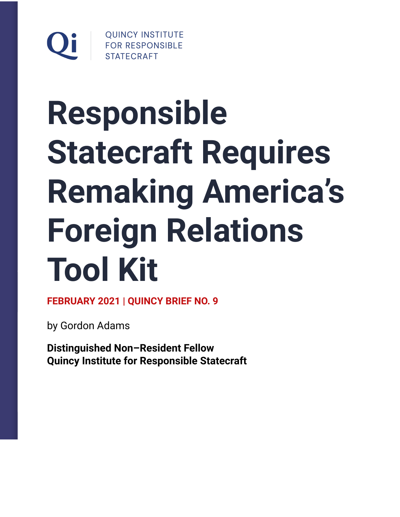

# **Responsible Statecraft Requires Remaking America's Foreign Relations Tool Kit**

**FEBRUARY 2021 | QUINCY BRIEF NO. 9**

by Gordon Adams

**Distinguished Non–Resident Fellow Quincy Institute for Responsible Statecraft**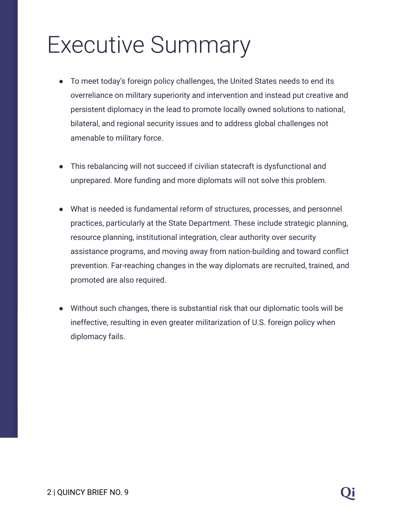# Executive Summary

- To meet today's foreign policy challenges, the United States needs to end its overreliance on military superiority and intervention and instead put creative and persistent diplomacy in the lead to promote locally owned solutions to national, bilateral, and regional security issues and to address global challenges not amenable to military force.
- This rebalancing will not succeed if civilian statecraft is dysfunctional and unprepared. More funding and more diplomats will not solve this problem.
- What is needed is fundamental reform of structures, processes, and personnel practices, particularly at the State Department. These include strategic planning, resource planning, institutional integration, clear authority over security assistance programs, and moving away from nation-building and toward conflict prevention. Far-reaching changes in the way diplomats are recruited, trained, and promoted are also required.
- Without such changes, there is substantial risk that our diplomatic tools will be ineffective, resulting in even greater militarization of U.S. foreign policy when diplomacy fails.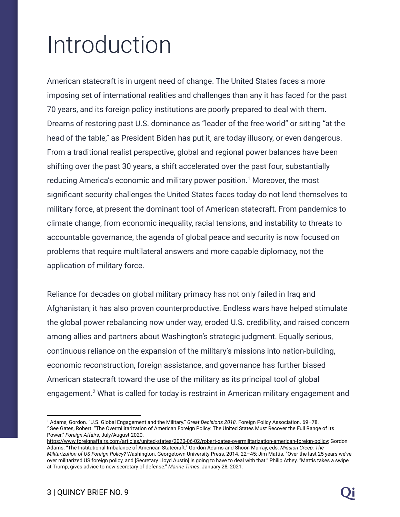# Introduction

American statecraft is in urgent need of change. The United States faces a more imposing set of international realities and challenges than any it has faced for the past 70 years, and its foreign policy institutions are poorly prepared to deal with them. Dreams of restoring past U.S. dominance as "leader of the free world" or sitting "at the head of the table," as President Biden has put it, are today illusory, or even dangerous. From a traditional realist perspective, global and regional power balances have been shifting over the past 30 years, a shift accelerated over the past four, substantially reducing America's economic and military power position.<sup>1</sup> Moreover, the most significant security challenges the United States faces today do not lend themselves to military force, at present the dominant tool of American statecraft. From pandemics to climate change, from economic inequality, racial tensions, and instability to threats to accountable governance, the agenda of global peace and security is now focused on problems that require multilateral answers and more capable diplomacy, not the application of military force.

Reliance for decades on global military primacy has not only failed in Iraq and Afghanistan; it has also proven counterproductive. Endless wars have helped stimulate the global power rebalancing now under way, eroded U.S. credibility, and raised concern among allies and partners about Washington's strategic judgment. Equally serious, continuous reliance on the expansion of the military's missions into nation-building, economic reconstruction, foreign assistance, and governance has further biased American statecraft toward the use of the military as its principal tool of global engagement.<sup>2</sup> What is called for today is restraint in American military engagement and

<sup>&</sup>lt;sup>2</sup> See Gates, Robert. "The Overmilitarization of American Foreign Policy: The United States Must Recover the Full Range of Its Power." *Foreign Affairs*, July/August 2020. <sup>1</sup> Adams, Gordon. "U.S. Global Engagement and the Military." *Great Decisions 2018.* Foreign Policy Association. 69–78.

<https://www.foreignaffairs.com/articles/united-states/2020-06-02/robert-gates-overmilitarization-american-foreign-policy>; Gordon Adams. "The Institutional Imbalance of American Statecraft." Gordon Adams and Shoon Murray, eds. *Mission Creep: The Militarization of US Foreign Policy?* Washington. Georgetown University Press, 2014. 22–45; Jim Mattis. "Over the last 25 years we've over militarized US foreign policy, and [Secretary Lloyd Austin] is going to have to deal with that." Philip Athey. "Mattis takes a swipe at Trump, gives advice to new secretary of defense." *Marine Times*, January 28, 2021.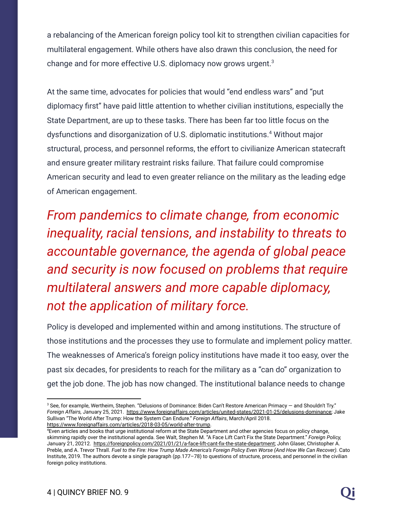a rebalancing of the American foreign policy tool kit to strengthen civilian capacities for multilateral engagement. While others have also drawn this conclusion, the need for change and for more effective U.S. diplomacy now grows urgent.<sup>3</sup>

At the same time, advocates for policies that would "end endless wars" and "put diplomacy first" have paid little attention to whether civilian institutions, especially the State Department, are up to these tasks. There has been far too little focus on the dysfunctions and disorganization of U.S. diplomatic institutions.<sup>4</sup> Without major structural, process, and personnel reforms, the effort to civilianize American statecraft and ensure greater military restraint risks failure. That failure could compromise American security and lead to even greater reliance on the military as the leading edge of American engagement.

*From pandemics to climate change, from economic inequality, racial tensions, and instability to threats to accountable governance, the agenda of global peace and security is now focused on problems that require multilateral answers and more capable diplomacy, not the application of military force.*

Policy is developed and implemented within and among institutions. The structure of those institutions and the processes they use to formulate and implement policy matter. The weaknesses of America's foreign policy institutions have made it too easy, over the past six decades, for presidents to reach for the military as a "can do" organization to get the job done. The job has now changed. The institutional balance needs to change

<sup>3</sup> See, for example, Wertheim, Stephen. "Delusions of Dominance: Biden Can't Restore American Primacy — and Shouldn't Try." *Foreign Affairs,* January 25, 2021. [https://www.foreignaffairs.com/articles/united-states/2021-01-25/delusions-dominance;](https://www.foreignaffairs.com/articles/united-states/2021-01-25/delusions-dominance) Jake Sullivan "The World After Trump: How the System Can Endure." *Foreign Affairs*, March/April 2018. [https://www.foreignaffairs.com/articles/2018-03-05/world-after-trump.](https://www.foreignaffairs.com/articles/2018-03-05/world-after-trump)

<sup>4</sup>Even articles and books that urge institutional reform at the State Department and other agencies focus on policy change, skimming rapidly over the institutional agenda. See Walt, Stephen M. "A Face Lift Can't Fix the State Department." *Foreign Policy,* January 21, 20212. [https://foreignpolicy.com/2021/01/21/a-face-lift-cant-fix-the-state-department;](https://foreignpolicy.com/2021/01/21/a-face-lift-cant-fix-the-state-department) John Glaser, Christopher A. Preble, and A. Trevor Thrall. Fuel to the Fire: How Trump Made America's Foreign Policy Even Worse (And How We Can Recover). Cato Institute, 2019. The authors devote a single paragraph (pp.177–78) to questions of structure, process, and personnel in the civilian foreign policy institutions.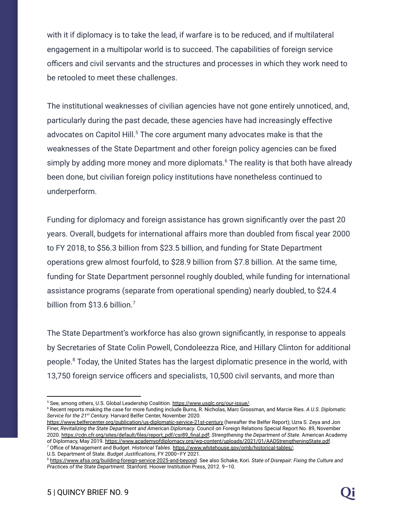with it if diplomacy is to take the lead, if warfare is to be reduced, and if multilateral engagement in a multipolar world is to succeed. The capabilities of foreign service officers and civil servants and the structures and processes in which they work need to be retooled to meet these challenges.

The institutional weaknesses of civilian agencies have not gone entirely unnoticed, and, particularly during the past decade, these agencies have had increasingly effective advocates on Capitol Hill.<sup>5</sup> The core argument many advocates make is that the weaknesses of the State Department and other foreign policy agencies can be fixed simply by adding more money and more diplomats.<sup> $6$ </sup> The reality is that both have already been done, but civilian foreign policy institutions have nonetheless continued to underperform.

Funding for diplomacy and foreign assistance has grown significantly over the past 20 years. Overall, budgets for international affairs more than doubled from fiscal year 2000 to FY 2018, to \$56.3 billion from \$23.5 billion, and funding for State Department operations grew almost fourfold, to \$28.9 billion from \$7.8 billion. At the same time, funding for State Department personnel roughly doubled, while funding for international assistance programs (separate from operational spending) nearly doubled, to \$24.4 billion from \$13.6 billion.<sup>7</sup>

The State Department's workforce has also grown significantly, in response to appeals by Secretaries of State Colin Powell, Condoleezza Rice, and Hillary Clinton for additional people.<sup>8</sup> Today, the United States has the largest diplomatic presence in the world, with 13,750 foreign service officers and specialists, 10,500 civil servants, and more than

U.S. Department of State. *Budget Justifications*, FY 2000–FY 2021.

<sup>&</sup>lt;sup>5</sup> See, among others, U.S. Global Leadership Coalition. [https://www.usglc.org/our-issue/.](https://www.usglc.org/our-issue/)

<sup>6</sup> Recent reports making the case for more funding include Burns, R. Nicholas, Marc Grossman, and Marcie Ries. *A U.S. Diplomatic Service for the 21 st Century.* Harvard Belfer Center, November 2020.

<sup>7</sup> Office of Management and Budget. *Historical Tables.* [https://www.whitehouse.gov/omb/historical-tables/;](https://www.whitehouse.gov/omb/historical-tables/) <https://www.belfercenter.org/publication/us-diplomatic-service-21st-century> (hereafter the Belfer Report); Uzra S. Zeya and Jon Finer, *Revitalizing the State Department and American Diplomacy.* Council on Foreign Relations Special Report No. 89, November 2020. [https://cdn.cfr.org/sites/default/files/report\\_pdf/csr89\\_final.pdf](https://cdn.cfr.org/sites/default/files/report_pdf/csr89_final.pdf); *Strengthening the Department of State.* American Academy of Diplomacy, May 2019. <https://www.academyofdiplomacy.org/wp-content/uploads/2021/01/AADStrengtheningState.pdf>.

<sup>8</sup> <https://www.afsa.org/building-foreign-service-2025-and-beyond>. See also Schake, Kori. *State of Disrepair: Fixing the Culture and Practices of the State Department.* Stanford. Hoover Institution Press, 2012. 9–10.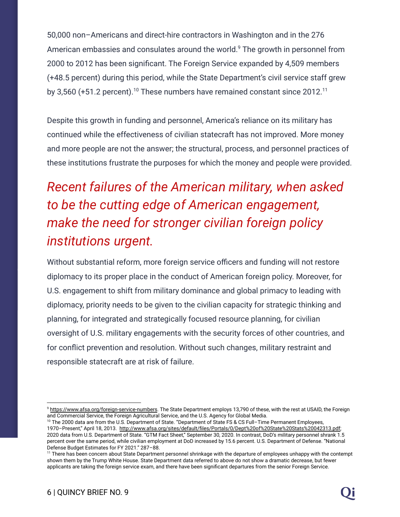50,000 non–Americans and direct-hire contractors in Washington and in the 276 American embassies and consulates around the world.<sup>9</sup> The growth in personnel from 2000 to 2012 has been significant. The Foreign Service expanded by 4,509 members (+48.5 percent) during this period, while the State Department's civil service staff grew by 3,560 (+51.2 percent).<sup>10</sup> These numbers have remained constant since 2012.<sup>11</sup>

Despite this growth in funding and personnel, America's reliance on its military has continued while the effectiveness of civilian statecraft has not improved. More money and more people are not the answer; the structural, process, and personnel practices of these institutions frustrate the purposes for which the money and people were provided.

# *Recent failures of the American military, when asked to be the cutting edge of American engagement, make the need for stronger civilian foreign policy institutions urgent.*

Without substantial reform, more foreign service officers and funding will not restore diplomacy to its proper place in the conduct of American foreign policy. Moreover, for U.S. engagement to shift from military dominance and global primacy to leading with diplomacy, priority needs to be given to the civilian capacity for strategic thinking and planning, for integrated and strategically focused resource planning, for civilian oversight of U.S. military engagements with the security forces of other countries, and for conflict prevention and resolution. Without such changes, military restraint and responsible statecraft are at risk of failure.

<sup>&</sup>lt;sup>9</sup> <https://www.afsa.org/foreign-service-numbers>. The State Department employs 13,790 of these, with the rest at USAID, the Foreign and Commercial Service, the Foreign Agricultural Service, and the U.S. Agency for Global Media.

<sup>&</sup>lt;sup>10</sup> The 2000 data are from the U.S. Department of State. "Department of State FS & CS Full–Time Permanent Employees, 1970–Present," April 18, 2013. <http://www.afsa.org/sites/default/files/Portals/0/Dept%20of%20State%20Stats%20042313.pdf>; 2020 data from U.S. Department of State. "GTM Fact Sheet," September 30, 2020. In contrast, DoD's military personnel shrank 1.5 percent over the same period, while civilian employment at DoD increased by 15.6 percent. U.S. Department of Defense. "National Defense Budget Estimates for FY 2021." 287–88.

<sup>&</sup>lt;sup>11</sup> There has been concern about State Department personnel shrinkage with the departure of employees unhappy with the contempt shown them by the Trump White House. State Department data referred to above do not show a dramatic decrease, but fewer applicants are taking the foreign service exam, and there have been significant departures from the senior Foreign Service.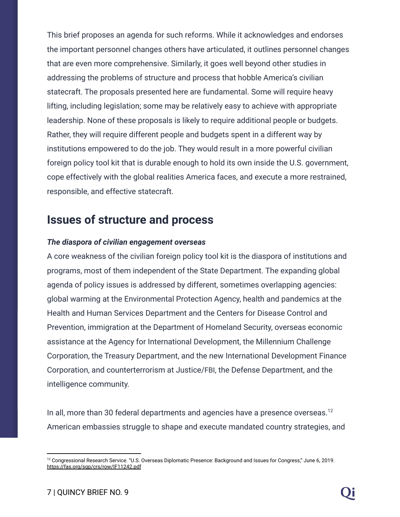This brief proposes an agenda for such reforms. While it acknowledges and endorses the important personnel changes others have articulated, it outlines personnel changes that are even more comprehensive. Similarly, it goes well beyond other studies in addressing the problems of structure and process that hobble America's civilian statecraft. The proposals presented here are fundamental. Some will require heavy lifting, including legislation; some may be relatively easy to achieve with appropriate leadership. None of these proposals is likely to require additional people or budgets. Rather, they will require different people and budgets spent in a different way by institutions empowered to do the job. They would result in a more powerful civilian foreign policy tool kit that is durable enough to hold its own inside the U.S. government, cope effectively with the global realities America faces, and execute a more restrained, responsible, and effective statecraft.

# **Issues of structure and process**

#### *The diaspora of civilian engagement overseas*

A core weakness of the civilian foreign policy tool kit is the diaspora of institutions and programs, most of them independent of the State Department. The expanding global agenda of policy issues is addressed by different, sometimes overlapping agencies: global warming at the Environmental Protection Agency, health and pandemics at the Health and Human Services Department and the Centers for Disease Control and Prevention, immigration at the Department of Homeland Security, overseas economic assistance at the Agency for International Development, the Millennium Challenge Corporation, the Treasury Department, and the new International Development Finance Corporation, and counterterrorism at Justice/FBI, the Defense Department, and the intelligence community.

In all, more than 30 federal departments and agencies have a presence overseas.<sup>12</sup> American embassies struggle to shape and execute mandated country strategies, and

<sup>&</sup>lt;sup>12</sup> Congressional Research Service. "U.S. Overseas Diplomatic Presence: Background and Issues for Congress," June 6, 2019. <https://fas.org/sgp/crs/row/IF11242.pdf>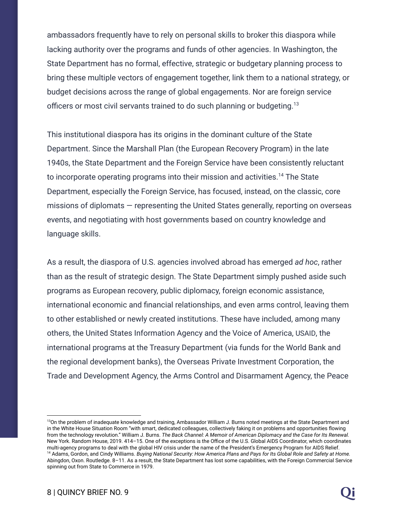ambassadors frequently have to rely on personal skills to broker this diaspora while lacking authority over the programs and funds of other agencies. In Washington, the State Department has no formal, effective, strategic or budgetary planning process to bring these multiple vectors of engagement together, link them to a national strategy, or budget decisions across the range of global engagements. Nor are foreign service officers or most civil servants trained to do such planning or budgeting.<sup>13</sup>

This institutional diaspora has its origins in the dominant culture of the State Department. Since the Marshall Plan (the European Recovery Program) in the late 1940s, the State Department and the Foreign Service have been consistently reluctant to incorporate operating programs into their mission and activities.<sup>14</sup> The State Department, especially the Foreign Service, has focused, instead, on the classic, core missions of diplomats — representing the United States generally, reporting on overseas events, and negotiating with host governments based on country knowledge and language skills.

As a result, the diaspora of U.S. agencies involved abroad has emerged *ad hoc*, rather than as the result of strategic design. The State Department simply pushed aside such programs as European recovery, public diplomacy, foreign economic assistance, international economic and financial relationships, and even arms control, leaving them to other established or newly created institutions. These have included, among many others, the United States Information Agency and the Voice of America, USAID, the international programs at the Treasury Department (via funds for the World Bank and the regional development banks), the Overseas Private Investment Corporation, the Trade and Development Agency, the Arms Control and Disarmament Agency, the Peace

<sup>&</sup>lt;sup>14</sup> Adams, Gordon, and Cindy Williams. Buying National Security: How America Plans and Pays for Its Global Role and Safety at Home. Abingdon, Oxon. Routledge. 8–11. As a result, the State Department has lost some capabilities, with the Foreign Commercial Service spinning out from State to Commerce in 1979. <sup>13</sup>On the problem of inadequate knowledge and training, Ambassador William J. Burns noted meetings at the State Department and in the White House Situation Room "with smart, dedicated colleagues, collectively faking it on problems and opportunities flowing from the technology revolution." William J. Burns. The Back Channel: A Memoir of American Diplomacy and the Case for Its Renewal. New York. Random House, 2019. 414–15. One of the exceptions is the Office of the U.S. Global AIDS Coordinator, which coordinates multi-agency programs to deal with the global HIV crisis under the name of the President's Emergency Program for AIDS Relief.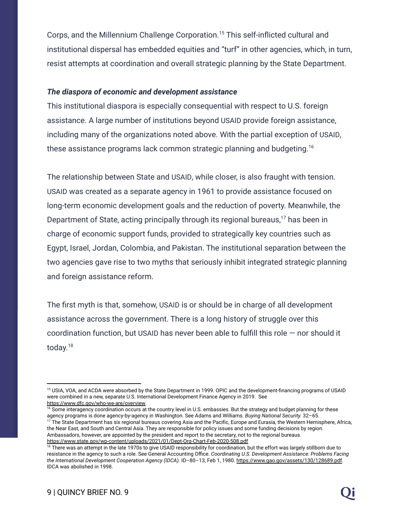Corps, and the Millennium Challenge Corporation.<sup>15</sup> This self-inflicted cultural and institutional dispersal has embedded equities and "turf" in other agencies, which, in turn, resist attempts at coordination and overall strategic planning by the State Department.

#### *The diaspora of economic and development assistance*

This institutional diaspora is especially consequential with respect to U.S. foreign assistance. A large number of institutions beyond USAID provide foreign assistance, including many of the organizations noted above. With the partial exception of USAID, these assistance programs lack common strategic planning and budgeting.<sup>16</sup>

The relationship between State and USAID, while closer, is also fraught with tension. USAID was created as a separate agency in 1961 to provide assistance focused on long-term economic development goals and the reduction of poverty. Meanwhile, the Department of State, acting principally through its regional bureaus,<sup>17</sup> has been in charge of economic support funds, provided to strategically key countries such as Egypt, Israel, Jordan, Colombia, and Pakistan. The institutional separation between the two agencies gave rise to two myths that seriously inhibit integrated strategic planning and foreign assistance reform.

The first myth is that, somehow, USAID is or should be in charge of all development assistance across the government. There is a long history of struggle over this coordination function, but USAID has never been able to fulfill this role — nor should it today.<sup>18</sup>

<sup>17</sup> The State Department has six regional bureaus covering Asia and the Pacific, Europe and Eurasia, the Western Hemisphere, Africa, the Near East, and South and Central Asia. They are responsible for policy issues and some funding decisions by region. Ambassadors, however, are appointed by the president and report to the secretary, not to the regional bureaus. <https://www.state.gov/wp-content/uploads/2021/01/Dept-Org-Chart-Feb-2020-508.pdf> <sup>16</sup> Some interagency coordination occurs at the country level in U.S. embassies. But the strategy and budget planning for these agency programs is done agency-by-agency in Washington. See Adams and Williams. *Buying National Security.* 32–65.

<sup>&</sup>lt;sup>15</sup> USIA, VOA, and ACDA were absorbed by the State Department in 1999. OPIC and the development-financing programs of USAID were combined in a new, separate U.S. International Development Finance Agency in 2019. See [https://www.dfc.gov/who-we-are/overview.](https://www.dfc.gov/who-we-are/overview)

<sup>&</sup>lt;sup>18</sup> There was an attempt in the late 1970s to give USAID responsibility for coordination, but the effort was largely stillborn due to resistance in the agency to such a role. See General Accounting Office. *Coordinating U.S. Development Assistance: Problems Facing the International Development Cooperation Agency (IDCA).* ID–80–13, Feb 1, 1980. [https://www.gao.gov/assets/130/128689.pdf.](https://www.gao.gov/assets/130/128689.pdf) IDCA was abolished in 1998.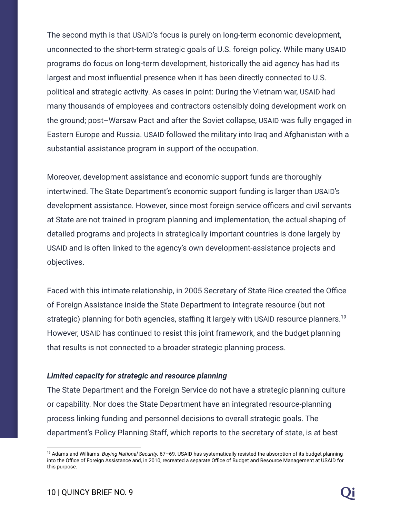The second myth is that USAID's focus is purely on long-term economic development, unconnected to the short-term strategic goals of U.S. foreign policy. While many USAID programs do focus on long-term development, historically the aid agency has had its largest and most influential presence when it has been directly connected to U.S. political and strategic activity. As cases in point: During the Vietnam war, USAID had many thousands of employees and contractors ostensibly doing development work on the ground; post–Warsaw Pact and after the Soviet collapse, USAID was fully engaged in Eastern Europe and Russia. USAID followed the military into Iraq and Afghanistan with a substantial assistance program in support of the occupation.

Moreover, development assistance and economic support funds are thoroughly intertwined. The State Department's economic support funding is larger than USAID's development assistance. However, since most foreign service officers and civil servants at State are not trained in program planning and implementation, the actual shaping of detailed programs and projects in strategically important countries is done largely by USAID and is often linked to the agency's own development-assistance projects and objectives.

Faced with this intimate relationship, in 2005 Secretary of State Rice created the Office of Foreign Assistance inside the State Department to integrate resource (but not strategic) planning for both agencies, staffing it largely with USAID resource planners.<sup>19</sup> However, USAID has continued to resist this joint framework, and the budget planning that results is not connected to a broader strategic planning process.

#### *Limited capacity for strategic and resource planning*

The State Department and the Foreign Service do not have a strategic planning culture or capability. Nor does the State Department have an integrated resource-planning process linking funding and personnel decisions to overall strategic goals. The department's Policy Planning Staff, which reports to the secretary of state, is at best

<sup>19</sup> Adams and Williams. *Buying National Security.* 67–69. USAID has systematically resisted the absorption of its budget planning into the Office of Foreign Assistance and, in 2010, recreated a separate Office of Budget and Resource Management at USAID for this purpose.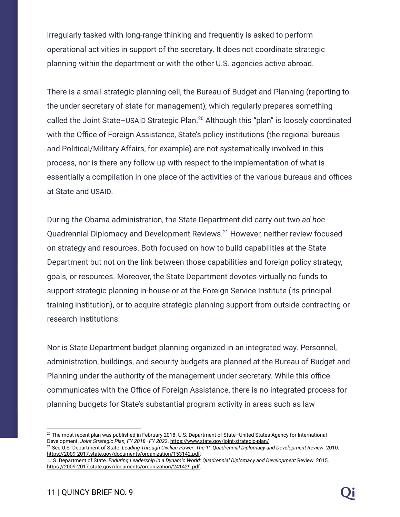irregularly tasked with long-range thinking and frequently is asked to perform operational activities in support of the secretary. It does not coordinate strategic planning within the department or with the other U.S. agencies active abroad.

There is a small strategic planning cell, the Bureau of Budget and Planning (reporting to the under secretary of state for management), which regularly prepares something called the Joint State–USAID Strategic Plan.<sup>20</sup> Although this "plan" is loosely coordinated with the Office of Foreign Assistance, State's policy institutions (the regional bureaus and Political/Military Affairs, for example) are not systematically involved in this process, nor is there any follow-up with respect to the implementation of what is essentially a compilation in one place of the activities of the various bureaus and offices at State and USAID.

During the Obama administration, the State Department did carry out two *ad hoc* Quadrennial Diplomacy and Development Reviews.<sup>21</sup> However, neither review focused on strategy and resources. Both focused on how to build capabilities at the State Department but not on the link between those capabilities and foreign policy strategy, goals, or resources. Moreover, the State Department devotes virtually no funds to support strategic planning in-house or at the Foreign Service Institute (its principal training institution), or to acquire strategic planning support from outside contracting or research institutions.

Nor is State Department budget planning organized in an integrated way. Personnel, administration, buildings, and security budgets are planned at the Bureau of Budget and Planning under the authority of the management under secretary. While this office communicates with the Office of Foreign Assistance, there is no integrated process for planning budgets for State's substantial program activity in areas such as law

<sup>&</sup>lt;sup>20</sup> The most recent plan was published in February 2018. U.S. Department of State–United States Agency for International Development. *Joint Strategic Plan, FY 2018*–*FY 2022*. <https://www.state.gov/joint-strategic-plan/>

<sup>21</sup> See U.S. Department of State. *Leading Through Civilian Power: The 1 st Quadrennial Diplomacy and Development Review*. 2010. [https://2009-2017.state.gov/documents/organization/153142.pdf;](https://2009-2017.state.gov/documents/organization/153142.pdf)

U.S. Department of State. *Enduring Leadership in a Dynamic World: Quadrennial Diplomacy and Development* Review. 2015. [https://2009-2017.state.gov/documents/organization/241429.pdf.](https://2009-2017.state.gov/documents/organization/241429.pdf)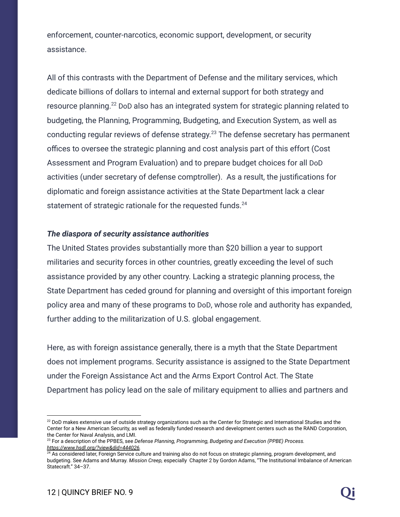enforcement, counter-narcotics, economic support, development, or security assistance.

All of this contrasts with the Department of Defense and the military services, which dedicate billions of dollars to internal and external support for both strategy and resource planning. $^{22}$  DoD also has an integrated system for strategic planning related to budgeting, the Planning, Programming, Budgeting, and Execution System, as well as conducting regular reviews of defense strategy.<sup>23</sup> The defense secretary has permanent offices to oversee the strategic planning and cost analysis part of this effort (Cost Assessment and Program Evaluation) and to prepare budget choices for all DoD activities (under secretary of defense comptroller). As a result, the justifications for diplomatic and foreign assistance activities at the State Department lack a clear statement of strategic rationale for the requested funds.<sup>24</sup>

#### *The diaspora of security assistance authorities*

The United States provides substantially more than \$20 billion a year to support militaries and security forces in other countries, greatly exceeding the level of such assistance provided by any other country. Lacking a strategic planning process, the State Department has ceded ground for planning and oversight of this important foreign policy area and many of these programs to DoD, whose role and authority has expanded, further adding to the militarization of U.S. global engagement.

Here, as with foreign assistance generally, there is a myth that the State Department does not implement programs. Security assistance is assigned to the State Department under the Foreign Assistance Act and the Arms Export Control Act. The State Department has policy lead on the sale of military equipment to allies and partners and

 $22$  DoD makes extensive use of outside strategy organizations such as the Center for Strategic and International Studies and the Center for a New American Security, as well as federally funded research and development centers such as the RAND Corporation, the Center for Naval Analysis, and LMI.

<sup>23</sup> For a description of the PPBES, see *Defense Planning, Programming, Budgeting and Execution (PPBE) Process. [https://www.hsdl.org/?view&did=444026.](https://www.hsdl.org/?view&did=444026)*

 $24$  As considered later, Foreign Service culture and training also do not focus on strategic planning, program development, and budgeting. See Adams and Murray. *Mission Creep,* especially Chapter 2 by Gordon Adams, "The Institutional Imbalance of American Statecraft." 34–37.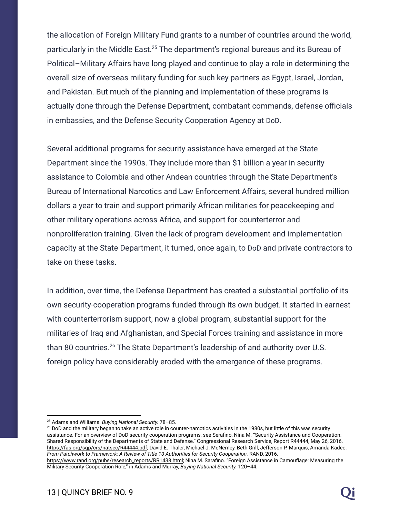the allocation of Foreign Military Fund grants to a number of countries around the world, particularly in the Middle East. $25$  The department's regional bureaus and its Bureau of Political–Military Affairs have long played and continue to play a role in determining the overall size of overseas military funding for such key partners as Egypt, Israel, Jordan, and Pakistan. But much of the planning and implementation of these programs is actually done through the Defense Department, combatant commands, defense officials in embassies, and the Defense Security Cooperation Agency at DoD.

Several additional programs for security assistance have emerged at the State Department since the 1990s. They include more than \$1 billion a year in security assistance to Colombia and other Andean countries through the State Department's Bureau of International Narcotics and Law Enforcement Affairs, several hundred million dollars a year to train and support primarily African militaries for peacekeeping and other military operations across Africa, and support for counterterror and nonproliferation training. Given the lack of program development and implementation capacity at the State Department, it turned, once again, to DoD and private contractors to take on these tasks.

In addition, over time, the Defense Department has created a substantial portfolio of its own security-cooperation programs funded through its own budget. It started in earnest with counterterrorism support, now a global program, substantial support for the militaries of Iraq and Afghanistan, and Special Forces training and assistance in more than 80 countries.<sup>26</sup> The State Department's leadership of and authority over U.S. foreign policy have considerably eroded with the emergence of these programs.

<sup>26</sup> DoD and the military began to take an active role in counter-narcotics activities in the 1980s, but little of this was security assistance. For an overview of DoD security-cooperation programs, see Serafino, Nina M. "Security Assistance and Cooperation: Shared Responsibility of the Departments of State and Defense." Congressional Research Service, Report R44444, May 26, 2016. <https://fas.org/sgp/crs/natsec/R44444.pdf>; David E. Thaler, Michael J. McNerney, Beth Grill, Jefferson P. Marquis, Amanda Kadec. *From Patchwork to Framework: A Review of Title 10 Authorities for Security Cooperation.* RAND, 2016.

<sup>25</sup> Adams and Williams. *Buying National Security.* 78–85.

[https://www.rand.org/pubs/research\\_reports/RR1438.html](https://www.rand.org/pubs/research_reports/RR1438.html); Nina M. Sarafino. "Foreign Assistance in Camouflage: Measuring the Military Security Cooperation Role," in Adams and Murray, *Buying National Security.* 120–44.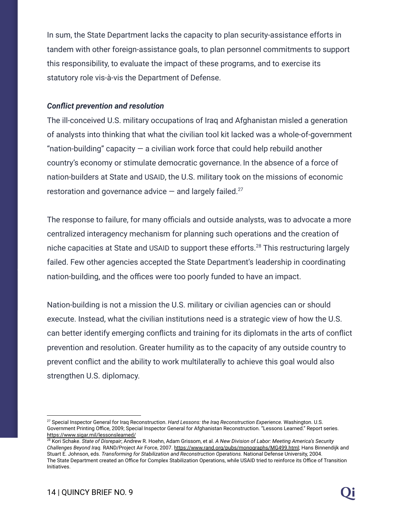In sum, the State Department lacks the capacity to plan security-assistance efforts in tandem with other foreign-assistance goals, to plan personnel commitments to support this responsibility, to evaluate the impact of these programs, and to exercise its statutory role vis-à-vis the Department of Defense.

#### *Conflict prevention and resolution*

The ill-conceived U.S. military occupations of Iraq and Afghanistan misled a generation of analysts into thinking that what the civilian tool kit lacked was a whole-of-government "nation-building" capacity  $-$  a civilian work force that could help rebuild another country's economy or stimulate democratic governance. In the absence of a force of nation-builders at State and USAID, the U.S. military took on the missions of economic restoration and governance advice  $-$  and largely failed.<sup>27</sup>

The response to failure, for many officials and outside analysts, was to advocate a more centralized interagency mechanism for planning such operations and the creation of niche capacities at State and USAID to support these efforts.<sup>28</sup> This restructuring largely failed. Few other agencies accepted the State Department's leadership in coordinating nation-building, and the offices were too poorly funded to have an impact.

Nation-building is not a mission the U.S. military or civilian agencies can or should execute. Instead, what the civilian institutions need is a strategic view of how the U.S. can better identify emerging conflicts and training for its diplomats in the arts of conflict prevention and resolution. Greater humility as to the capacity of any outside country to prevent conflict and the ability to work multilaterally to achieve this goal would also strengthen U.S. diplomacy.

<sup>27</sup> Special Inspector General for Iraq Reconstruction. *Hard Lessons: the Iraq Reconstruction Experience.* Washington. U.S. Government Printing Office, 2009; Special Inspector General for Afghanistan Reconstruction. "Lessons Learned." Report series. <https://www.sigar.mil/lessonslearned/>

<sup>28</sup> Kori Schake. *State of Disrepair*; Andrew R. Hoehn, Adam Grissom, et al. *A New Division of Labor: Meeting America's Security Challenges Beyond Iraq.* RAND/Project Air Force, 2007. [https://www.rand.org/pubs/monographs/MG499.html;](https://www.rand.org/pubs/monographs/MG499.html) Hans Binnendijk and Stuart E. Johnson, eds. *Transforming for Stabilization and Reconstruction Operations.* National Defense University, 2004. The State Department created an Office for Complex Stabilization Operations, while USAID tried to reinforce its Office of Transition Initiatives.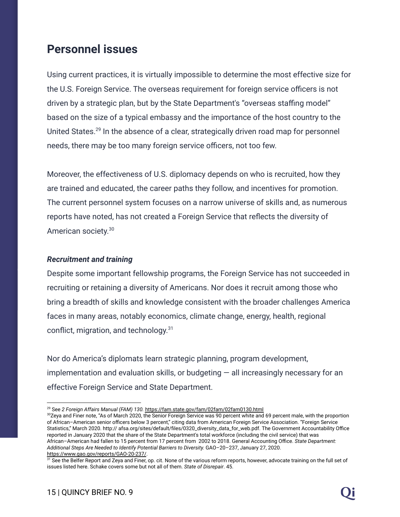# **Personnel issues**

Using current practices, it is virtually impossible to determine the most effective size for the U.S. Foreign Service. The overseas requirement for foreign service officers is not driven by a strategic plan, but by the State Department's "overseas staffing model" based on the size of a typical embassy and the importance of the host country to the United States.<sup>29</sup> In the absence of a clear, strategically driven road map for personnel needs, there may be too many foreign service officers, not too few.

Moreover, the effectiveness of U.S. diplomacy depends on who is recruited, how they are trained and educated, the career paths they follow, and incentives for promotion. The current personnel system focuses on a narrow universe of skills and, as numerous reports have noted, has not created a Foreign Service that reflects the diversity of American society.<sup>30</sup>

#### *Recruitment and training*

Despite some important fellowship programs, the Foreign Service has not succeeded in recruiting or retaining a diversity of Americans. Nor does it recruit among those who bring a breadth of skills and knowledge consistent with the broader challenges America faces in many areas, notably economics, climate change, energy, health, regional conflict, migration, and technology.<sup>31</sup>

Nor do America's diplomats learn strategic planning, program development, implementation and evaluation skills, or budgeting  $-$  all increasingly necessary for an effective Foreign Service and State Department.

<sup>29</sup> See *2 Foreign Affairs Manual (FAM) 130.* <https://fam.state.gov/fam/02fam/02fam0130.html>

<sup>&</sup>lt;sup>30</sup>Zeya and Finer note, "As of March 2020, the Senior Foreign Service was 90 percent white and 69 percent male, with the proportion of African–American senior officers below 3 percent," citing data from American Foreign Service Association. "Foreign Service Statistics," March 2020. http:// afsa.org/sites/default/files/0320\_diversity\_data\_for\_web.pdf. The Government Accountability Office reported in January 2020 that the share of the State Department's total workforce (including the civil service) that was African–American had fallen to 15 percent from 17 percent from 2002 to 2018. General Accounting Office. *State Department: Additional Steps Are Needed to Identify Potential Barriers to Diversity.* GAO–20–237, January 27, 2020. <https://www.gao.gov/reports/GAO-20-237/>.

<sup>&</sup>lt;sup>31</sup> See the Belfer Report and Zeya and Finer, op. cit. None of the various reform reports, however, advocate training on the full set of issues listed here. Schake covers some but not all of them. *State of Disrepair*. 45.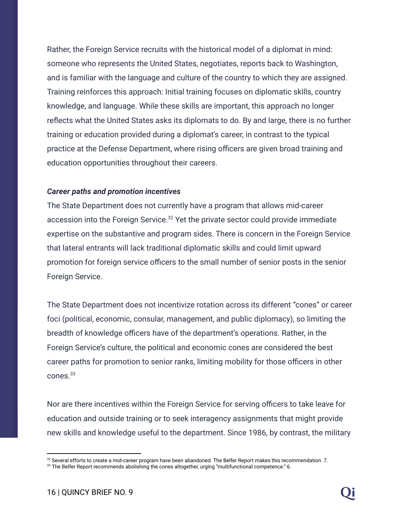Rather, the Foreign Service recruits with the historical model of a diplomat in mind: someone who represents the United States, negotiates, reports back to Washington, and is familiar with the language and culture of the country to which they are assigned. Training reinforces this approach: Initial training focuses on diplomatic skills, country knowledge, and language. While these skills are important, this approach no longer reflects what the United States asks its diplomats to do. By and large, there is no further training or education provided during a diplomat's career, in contrast to the typical practice at the Defense Department, where rising officers are given broad training and education opportunities throughout their careers.

#### *Career paths and promotion incentives*

The State Department does not currently have a program that allows mid-career accession into the Foreign Service. $32$  Yet the private sector could provide immediate expertise on the substantive and program sides. There is concern in the Foreign Service that lateral entrants will lack traditional diplomatic skills and could limit upward promotion for foreign service officers to the small number of senior posts in the senior Foreign Service.

The State Department does not incentivize rotation across its different "cones" or career foci (political, economic, consular, management, and public diplomacy), so limiting the breadth of knowledge officers have of the department's operations. Rather, in the Foreign Service's culture, the political and economic cones are considered the best career paths for promotion to senior ranks, limiting mobility for those officers in other cones.<sup>33</sup>

Nor are there incentives within the Foreign Service for serving officers to take leave for education and outside training or to seek interagency assignments that might provide new skills and knowledge useful to the department. Since 1986, by contrast, the military

<sup>&</sup>lt;sup>32</sup> Several efforts to create a mid-career program have been abandoned. The Belfer Report makes this recommendation. 7.

<sup>&</sup>lt;sup>33</sup> The Belfer Report recommends abolishing the cones altogether, urging "multifunctional competence." 6.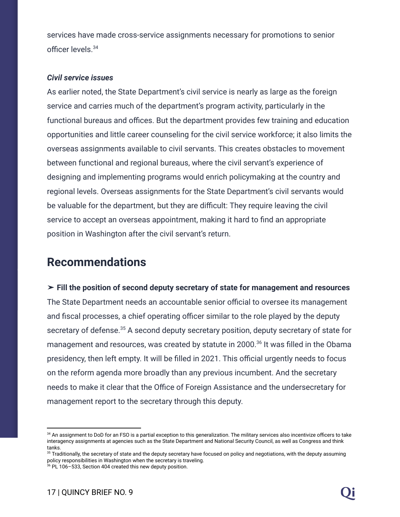services have made cross-service assignments necessary for promotions to senior officer levels.<sup>34</sup>

#### *Civil service issues*

As earlier noted, the State Department's civil service is nearly as large as the foreign service and carries much of the department's program activity, particularly in the functional bureaus and offices. But the department provides few training and education opportunities and little career counseling for the civil service workforce; it also limits the overseas assignments available to civil servants. This creates obstacles to movement between functional and regional bureaus, where the civil servant's experience of designing and implementing programs would enrich policymaking at the country and regional levels. Overseas assignments for the State Department's civil servants would be valuable for the department, but they are difficult: They require leaving the civil service to accept an overseas appointment, making it hard to find an appropriate position in Washington after the civil servant's return.

# **Recommendations**

➤ **Fill the position of second deputy secretary of state for management and resources** The State Department needs an accountable senior official to oversee its management and fiscal processes, a chief operating officer similar to the role played by the deputy secretary of defense. $35$  A second deputy secretary position, deputy secretary of state for management and resources, was created by statute in 2000.<sup>36</sup> It was filled in the Obama presidency, then left empty. It will be filled in 2021. This official urgently needs to focus on the reform agenda more broadly than any previous incumbent. And the secretary needs to make it clear that the Office of Foreign Assistance and the undersecretary for management report to the secretary through this deputy.

<sup>&</sup>lt;sup>34</sup> An assignment to DoD for an FSO is a partial exception to this generalization. The military services also incentivize officers to take interagency assignments at agencies such as the State Department and National Security Council, as well as Congress and think tanks.

<sup>&</sup>lt;sup>35</sup> Traditionally, the secretary of state and the deputy secretary have focused on policy and negotiations, with the deputy assuming policy responsibilities in Washington when the secretary is traveling.

<sup>36</sup> PL 106–533, Section 404 created this new deputy position.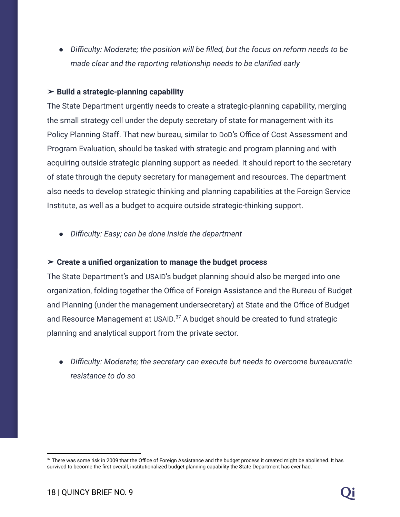*● Difficulty: Moderate; the position will be filled, but the focus on reform needs to be made clear and the reporting relationship needs to be clarified early*

#### ➤ **Build a strategic-planning capability**

The State Department urgently needs to create a strategic-planning capability, merging the small strategy cell under the deputy secretary of state for management with its Policy Planning Staff. That new bureau, similar to DoD's Office of Cost Assessment and Program Evaluation, should be tasked with strategic and program planning and with acquiring outside strategic planning support as needed. It should report to the secretary of state through the deputy secretary for management and resources. The department also needs to develop strategic thinking and planning capabilities at the Foreign Service Institute, as well as a budget to acquire outside strategic-thinking support.

*● Difficulty: Easy; can be done inside the department*

#### ➤ **Create a unified organization to manage the budget process**

The State Department's and USAID's budget planning should also be merged into one organization, folding together the Office of Foreign Assistance and the Bureau of Budget and Planning (under the management undersecretary) at State and the Office of Budget and Resource Management at USAID. $37$  A budget should be created to fund strategic planning and analytical support from the private sector.

*● Difficulty: Moderate; the secretary can execute but needs to overcome bureaucratic resistance to do so*

<sup>&</sup>lt;sup>37</sup> There was some risk in 2009 that the Office of Foreign Assistance and the budget process it created might be abolished. It has survived to become the first overall, institutionalized budget planning capability the State Department has ever had.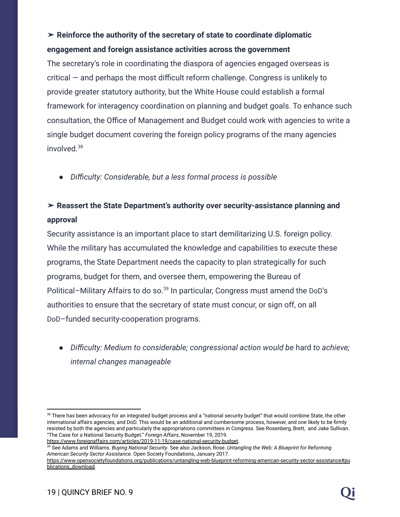## ➤ **Reinforce the authority of the secretary of state to coordinate diplomatic engagement and foreign assistance activities across the government**

The secretary's role in coordinating the diaspora of agencies engaged overseas is critical — and perhaps the most difficult reform challenge. Congress is unlikely to provide greater statutory authority, but the White House could establish a formal framework for interagency coordination on planning and budget goals. To enhance such consultation, the Office of Management and Budget could work with agencies to write a single budget document covering the foreign policy programs of the many agencies involved.<sup>38</sup>

*● Difficulty: Considerable, but a less formal process is possible*

### ➤ **Reassert the State Department's authority over security-assistance planning and approval**

Security assistance is an important place to start demilitarizing U.S. foreign policy. While the military has accumulated the knowledge and capabilities to execute these programs, the State Department needs the capacity to plan strategically for such programs, budget for them, and oversee them, empowering the Bureau of Political-Military Affairs to do so.<sup>39</sup> In particular, Congress must amend the DoD's authorities to ensure that the secretary of state must concur, or sign off, on all DoD–funded security-cooperation programs.

● *Difficulty: Medium to considerable; congressional action would be* hard *to achieve; internal changes manageable*

```
39 See Adams and Williams. Buying National Security. See also Jackson, Rose. Untangling the Web: A Blueprint for Reforming
American Security Sector Assistance. Open Society Foundations, January 2017.
https://www.foreignaffairs.com/articles/2019-11-19/case-national-security-budget.
```
<sup>&</sup>lt;sup>38</sup> There has been advocacy for an integrated budget process and a "national security budget" that would combine State, the other international affairs agencies, and DoD. This would be an additional and cumbersome process, however, and one likely to be firmly resisted by both the agencies and particularly the appropriations committees in Congress. See Rosenberg, Brett, and Jake Sullivan. "The Case for a National Security Budget." *Foreign Affairs*, November 19, 2019.

[https://www.opensocietyfoundations.org/publications/untangling-web-blueprint-reforming-american-security-sector-assistance#pu](https://www.opensocietyfoundations.org/publications/untangling-web-blueprint-reforming-american-security-sector-assistance#publications_download) [blications\\_download.](https://www.opensocietyfoundations.org/publications/untangling-web-blueprint-reforming-american-security-sector-assistance#publications_download)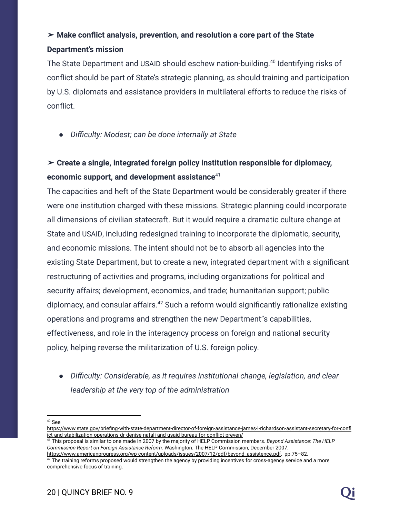### ➤ **Make conflict analysis, prevention, and resolution a core part of the State Department's mission**

The State Department and USAID should eschew nation-building.<sup>40</sup> Identifying risks of conflict should be part of State's strategic planning, as should training and participation by U.S. diplomats and assistance providers in multilateral efforts to reduce the risks of conflict.

*● Difficulty: Modest; can be done internally at State*

# ➤ **Create a single, integrated foreign policy institution responsible for diplomacy, economic support, and development assistance**<sup>41</sup>

The capacities and heft of the State Department would be considerably greater if there were one institution charged with these missions. Strategic planning could incorporate all dimensions of civilian statecraft. But it would require a dramatic culture change at State and USAID, including redesigned training to incorporate the diplomatic, security, and economic missions. The intent should not be to absorb all agencies into the existing State Department, but to create a new, integrated department with a significant restructuring of activities and programs, including organizations for political and security affairs; development, economics, and trade; humanitarian support; public diplomacy, and consular affairs.<sup>42</sup> Such a reform would significantly rationalize existing operations and programs and strengthen the new Department"s capabilities, effectiveness, and role in the interagency process on foreign and national security policy, helping reverse the militarization of U.S. foreign policy.

*● Difficulty: Considerable, as it requires institutional change, legislation, and clear leadership at the very top of the administration*

<sup>40</sup> See

[https://www.state.gov/briefing-with-state-department-director-of-foreign-assistance-james-l-richardson-assistant-secretary-for-confl](https://www.state.gov/briefing-with-state-department-director-of-foreign-assistance-james-l-richardson-assistant-secretary-for-conflict-and-stabilization-operations-dr-denise-natali-and-usaid-bureau-for-conflict-preven/) [ict-and-stabilization-operations-dr-denise-natali-and-usaid-bureau-for-conflict-preven/](https://www.state.gov/briefing-with-state-department-director-of-foreign-assistance-james-l-richardson-assistant-secretary-for-conflict-and-stabilization-operations-dr-denise-natali-and-usaid-bureau-for-conflict-preven/)

<sup>41</sup> This proposal is similar to one made In 2007 by the majority of HELP Commission members. *Beyond Assistance: The HELP Commission Report on Foreign Assistance Reform.* Washington. The HELP Commission, December 2007.

 $42$  The training reforms proposed would strengthen the agency by providing incentives for cross-agency service and a more comprehensive focus of training. [https://www.americanprogress.org/wp-content/uploads/issues/2007/12/pdf/beyond\\_assistence.pdf](https://www.americanprogress.org/wp-content/uploads/issues/2007/12/pdf/beyond_assistence.pdf), pp.75–82.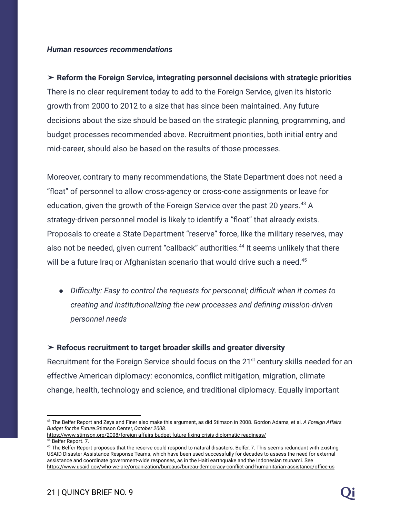#### *Human resources recommendations*

# ➤ **Reform the Foreign Service, integrating personnel decisions with strategic priorities** There is no clear requirement today to add to the Foreign Service, given its historic growth from 2000 to 2012 to a size that has since been maintained. Any future decisions about the size should be based on the strategic planning, programming, and budget processes recommended above. Recruitment priorities, both initial entry and mid-career, should also be based on the results of those processes.

Moreover, contrary to many recommendations, the State Department does not need a "float" of personnel to allow cross-agency or cross-cone assignments or leave for education, given the growth of the Foreign Service over the past 20 years.  $43$  A strategy-driven personnel model is likely to identify a "float" that already exists. Proposals to create a State Department "reserve" force, like the military reserves, may also not be needed, given current "callback" authorities.<sup>44</sup> It seems unlikely that there will be a future Irag or Afghanistan scenario that would drive such a need.<sup>45</sup>

*● Difficulty: Easy to control the requests for personnel; difficult when it comes to creating and institutionalizing the new processes and defining mission-driven personnel needs*

#### ➤ **Refocus recruitment to target broader skills and greater diversity**

Recruitment for the Foreign Service should focus on the 21<sup>st</sup> century skills needed for an effective American diplomacy: economics, conflict mitigation, migration, climate change, health, technology and science, and traditional diplomacy. Equally important

<https://www.stimson.org/2008/foreign-affairs-budget-future-fixing-crisis-diplomatic-readiness/>

<sup>43</sup> The Belfer Report and Zeya and Finer also make this argument, as did Stimson in 2008. Gordon Adams, et al. *A Foreign Affairs Budget for the Future.*Stimson Center, *October 2008.*

<sup>&</sup>lt;sup>44</sup> Belfer Report. 7.

<sup>&</sup>lt;sup>45</sup> The Belfer Report proposes that the reserve could respond to natural disasters. Belfer, 7. This seems redundant with existing USAID Disaster Assistance Response Teams, which have been used successfully for decades to assess the need for external assistance and coordinate government-wide responses, as in the Haiti earthquake and the Indonesian tsunami. See <https://www.usaid.gov/who-we-are/organization/bureaus/bureau-democracy-conflict-and-humanitarian-assistance/office-us>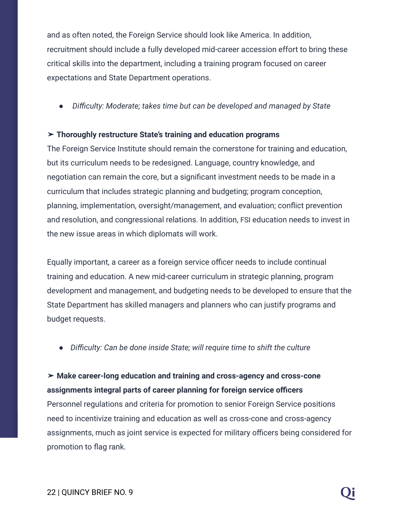and as often noted, the Foreign Service should look like America. In addition, recruitment should include a fully developed mid-career accession effort to bring these critical skills into the department, including a training program focused on career expectations and State Department operations.

*● Difficulty: Moderate; takes time but can be developed and managed by State*

#### ➤ **Thoroughly restructure State's training and education programs**

The Foreign Service Institute should remain the cornerstone for training and education, but its curriculum needs to be redesigned. Language, country knowledge, and negotiation can remain the core, but a significant investment needs to be made in a curriculum that includes strategic planning and budgeting; program conception, planning, implementation, oversight/management, and evaluation; conflict prevention and resolution, and congressional relations. In addition, FSI education needs to invest in the new issue areas in which diplomats will work.

Equally important, a career as a foreign service officer needs to include continual training and education. A new mid-career curriculum in strategic planning, program development and management, and budgeting needs to be developed to ensure that the State Department has skilled managers and planners who can justify programs and budget requests.

*● Difficulty: Can be done inside State; will require time to shift the culture*

➤ **Make career-long education and training and cross-agency and cross-cone assignments integral parts of career planning for foreign service officers** Personnel regulations and criteria for promotion to senior Foreign Service positions need to incentivize training and education as well as cross-cone and cross-agency assignments, much as joint service is expected for military officers being considered for promotion to flag rank.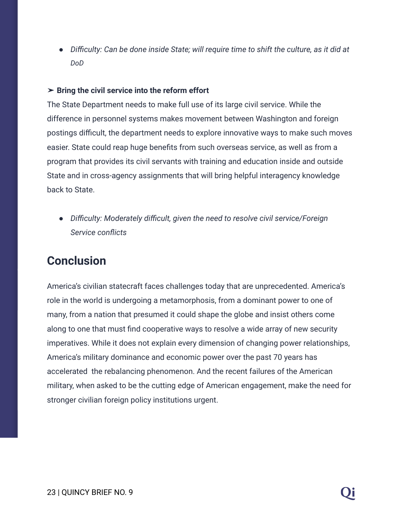*● Difficulty: Can be done inside State; will require time to shift the culture, as it did at DoD*

#### ➤ **Bring the civil service into the reform effort**

The State Department needs to make full use of its large civil service. While the difference in personnel systems makes movement between Washington and foreign postings difficult, the department needs to explore innovative ways to make such moves easier. State could reap huge benefits from such overseas service, as well as from a program that provides its civil servants with training and education inside and outside State and in cross-agency assignments that will bring helpful interagency knowledge back to State.

*● Difficulty: Moderately difficult, given the need to resolve civil service/Foreign Service conflicts*

# **Conclusion**

America's civilian statecraft faces challenges today that are unprecedented. America's role in the world is undergoing a metamorphosis, from a dominant power to one of many, from a nation that presumed it could shape the globe and insist others come along to one that must find cooperative ways to resolve a wide array of new security imperatives. While it does not explain every dimension of changing power relationships, America's military dominance and economic power over the past 70 years has accelerated the rebalancing phenomenon. And the recent failures of the American military, when asked to be the cutting edge of American engagement, make the need for stronger civilian foreign policy institutions urgent.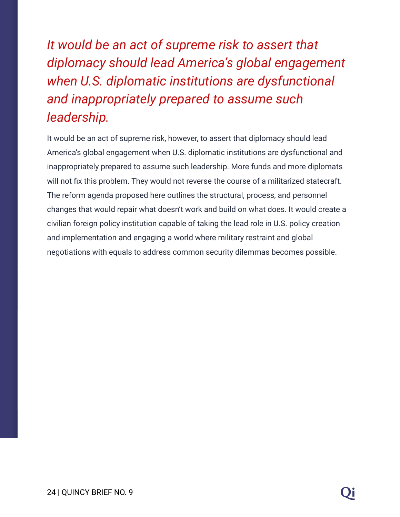*It would be an act of supreme risk to assert that diplomacy should lead America's global engagement when U.S. diplomatic institutions are dysfunctional and inappropriately prepared to assume such leadership.*

It would be an act of supreme risk, however, to assert that diplomacy should lead America's global engagement when U.S. diplomatic institutions are dysfunctional and inappropriately prepared to assume such leadership. More funds and more diplomats will not fix this problem. They would not reverse the course of a militarized statecraft. The reform agenda proposed here outlines the structural, process, and personnel changes that would repair what doesn't work and build on what does. It would create a civilian foreign policy institution capable of taking the lead role in U.S. policy creation and implementation and engaging a world where military restraint and global negotiations with equals to address common security dilemmas becomes possible.